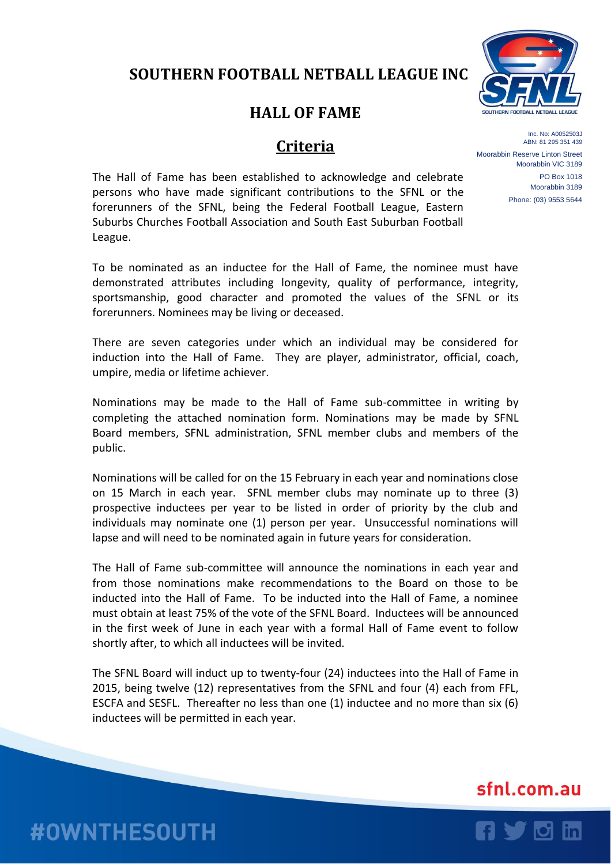## **SOUTHERN FOOTBALL NETBALL LEAGUE INC**

## **HALL OF FAME**

### **Criteria**

Inc. No: A0052503J ABN: 81 295 351 439 Moorabbin Reserve Linton Street Moorabbin VIC 3189 PO Box 1018 Moorabbin 3189 Phone: (03) 9553 5644

The Hall of Fame has been established to acknowledge and celebrate persons who have made significant contributions to the SFNL or the forerunners of the SFNL, being the Federal Football League, Eastern Suburbs Churches Football Association and South East Suburban Football League.

To be nominated as an inductee for the Hall of Fame, the nominee must have demonstrated attributes including longevity, quality of performance, integrity, sportsmanship, good character and promoted the values of the SFNL or its forerunners. Nominees may be living or deceased.

There are seven categories under which an individual may be considered for induction into the Hall of Fame. They are player, administrator, official, coach, umpire, media or lifetime achiever.

Nominations may be made to the Hall of Fame sub-committee in writing by completing the attached nomination form. Nominations may be made by SFNL Board members, SFNL administration, SFNL member clubs and members of the public.

Nominations will be called for on the 15 February in each year and nominations close on 15 March in each year. SFNL member clubs may nominate up to three (3) prospective inductees per year to be listed in order of priority by the club and individuals may nominate one (1) person per year. Unsuccessful nominations will lapse and will need to be nominated again in future years for consideration.

The Hall of Fame sub-committee will announce the nominations in each year and from those nominations make recommendations to the Board on those to be inducted into the Hall of Fame. To be inducted into the Hall of Fame, a nominee must obtain at least 75% of the vote of the SFNL Board. Inductees will be announced in the first week of June in each year with a formal Hall of Fame event to follow shortly after, to which all inductees will be invited.

The SFNL Board will induct up to twenty-four (24) inductees into the Hall of Fame in 2015, being twelve (12) representatives from the SFNL and four (4) each from FFL, ESCFA and SESFL. Thereafter no less than one (1) inductee and no more than six (6) inductees will be permitted in each year.

# sfnl.com.au



**#OWNTHESOUTH**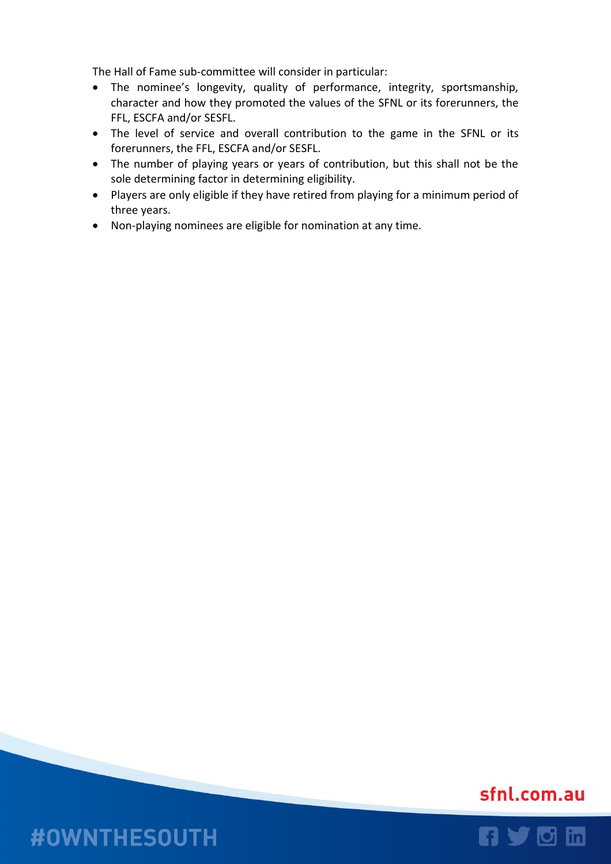The Hall of Fame sub-committee will consider in particular:

- The nominee's longevity, quality of performance, integrity, sportsmanship, character and how they promoted the values of the SFNL or its forerunners, the FFL, ESCFA and/or SESFL.
- The level of service and overall contribution to the game in the SFNL or its forerunners, the FFL, ESCFA and/or SESFL.
- The number of playing years or years of contribution, but this shall not be the sole determining factor in determining eligibility.
- Players are only eligible if they have retired from playing for a minimum period of three years.
- Non-playing nominees are eligible for nomination at any time.